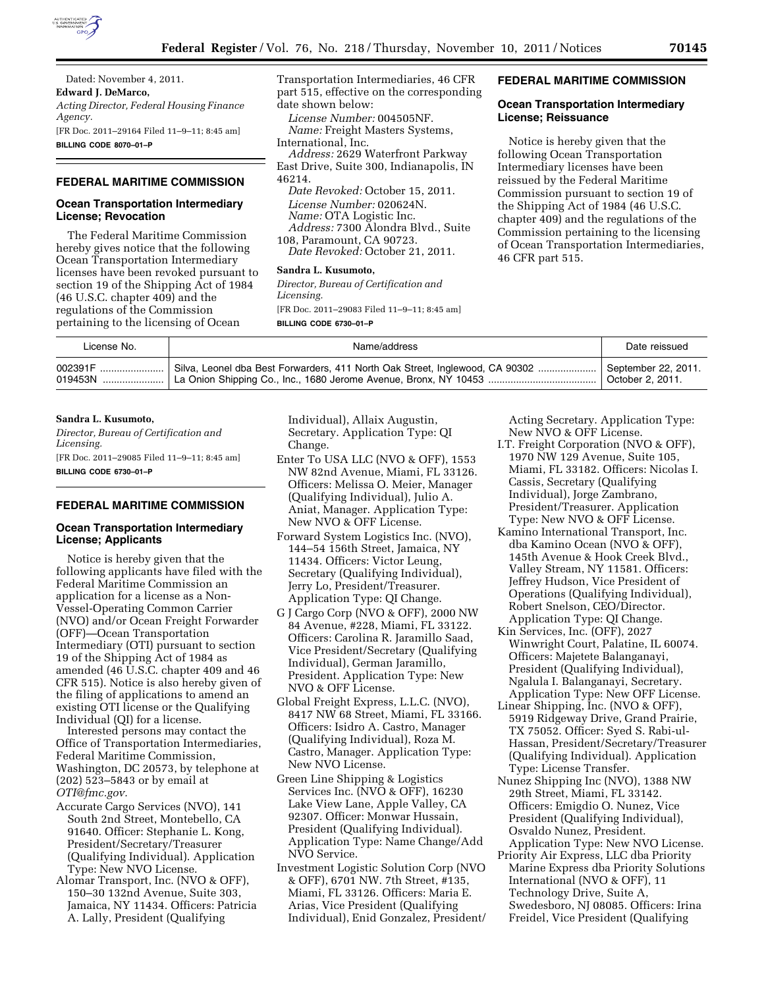

## **FEDERAL MARITIME COMMISSION**

# **Ocean Transportation Intermediary License; Revocation**

The Federal Maritime Commission hereby gives notice that the following Ocean Transportation Intermediary licenses have been revoked pursuant to section 19 of the Shipping Act of 1984 (46 U.S.C. chapter 409) and the regulations of the Commission pertaining to the licensing of Ocean

Transportation Intermediaries, 46 CFR part 515, effective on the corresponding date shown below:

*License Number:* 004505NF. *Name:* Freight Masters Systems, International, Inc.

*Address:* 2629 Waterfront Parkway East Drive, Suite 300, Indianapolis, IN 46214.

*Date Revoked:* October 15, 2011. *License Number:* 020624N. *Name:* OTA Logistic Inc. *Address:* 7300 Alondra Blvd., Suite 108, Paramount, CA 90723.

*Date Revoked:* October 21, 2011.

#### **Sandra L. Kusumoto,**

*Director, Bureau of Certification and Licensing.*  [FR Doc. 2011–29083 Filed 11–9–11; 8:45 am] **BILLING CODE 6730–01–P** 

### **FEDERAL MARITIME COMMISSION**

## **Ocean Transportation Intermediary License; Reissuance**

Notice is hereby given that the following Ocean Transportation Intermediary licenses have been reissued by the Federal Maritime Commission pursuant to section 19 of the Shipping Act of 1984 (46 U.S.C. chapter 409) and the regulations of the Commission pertaining to the licensing of Ocean Transportation Intermediaries, 46 CFR part 515.

| License No. | Name/address                                                                          | Date reissued                           |
|-------------|---------------------------------------------------------------------------------------|-----------------------------------------|
|             | 002391F  Silva, Leonel dba Best Forwarders, 411 North Oak Street, Inglewood, CA 90302 | September 22, 2011.<br>October 2, 2011. |

#### **Sandra L. Kusumoto,**

*Director, Bureau of Certification and Licensing.*  [FR Doc. 2011–29085 Filed 11–9–11; 8:45 am]

**BILLING CODE 6730–01–P** 

### **FEDERAL MARITIME COMMISSION**

### **Ocean Transportation Intermediary License; Applicants**

Notice is hereby given that the following applicants have filed with the Federal Maritime Commission an application for a license as a Non-Vessel-Operating Common Carrier (NVO) and/or Ocean Freight Forwarder (OFF)—Ocean Transportation Intermediary (OTI) pursuant to section 19 of the Shipping Act of 1984 as amended (46 U.S.C. chapter 409 and 46 CFR 515). Notice is also hereby given of the filing of applications to amend an existing OTI license or the Qualifying Individual (QI) for a license.

Interested persons may contact the Office of Transportation Intermediaries, Federal Maritime Commission, Washington, DC 20573, by telephone at (202) 523–5843 or by email at *[OTI@fmc.gov.](mailto:OTI@fmc.gov)* 

- Accurate Cargo Services (NVO), 141 South 2nd Street, Montebello, CA 91640. Officer: Stephanie L. Kong, President/Secretary/Treasurer (Qualifying Individual). Application Type: New NVO License.
- Alomar Transport, Inc. (NVO & OFF), 150–30 132nd Avenue, Suite 303, Jamaica, NY 11434. Officers: Patricia A. Lally, President (Qualifying

Individual), Allaix Augustin, Secretary. Application Type: QI Change.

- Enter To USA LLC (NVO & OFF), 1553 NW 82nd Avenue, Miami, FL 33126. Officers: Melissa O. Meier, Manager (Qualifying Individual), Julio A. Aniat, Manager. Application Type: New NVO & OFF License.
- Forward System Logistics Inc. (NVO), 144–54 156th Street, Jamaica, NY 11434. Officers: Victor Leung, Secretary (Qualifying Individual), Jerry Lo, President/Treasurer. Application Type: QI Change.
- G J Cargo Corp (NVO & OFF), 2000 NW 84 Avenue, #228, Miami, FL 33122. Officers: Carolina R. Jaramillo Saad, Vice President/Secretary (Qualifying Individual), German Jaramillo, President. Application Type: New NVO & OFF License.
- Global Freight Express, L.L.C. (NVO), 8417 NW 68 Street, Miami, FL 33166. Officers: Isidro A. Castro, Manager (Qualifying Individual), Roza M. Castro, Manager. Application Type: New NVO License.
- Green Line Shipping & Logistics Services Inc. (NVO & OFF), 16230 Lake View Lane, Apple Valley, CA 92307. Officer: Monwar Hussain, President (Qualifying Individual). Application Type: Name Change/Add NVO Service.
- Investment Logistic Solution Corp (NVO & OFF), 6701 NW. 7th Street, #135, Miami, FL 33126. Officers: Maria E. Arias, Vice President (Qualifying Individual), Enid Gonzalez, President/

Acting Secretary. Application Type: New NVO & OFF License.

- I.T. Freight Corporation (NVO & OFF), 1970 NW 129 Avenue, Suite 105, Miami, FL 33182. Officers: Nicolas I. Cassis, Secretary (Qualifying Individual), Jorge Zambrano, President/Treasurer. Application Type: New NVO & OFF License.
- Kamino International Transport, Inc. dba Kamino Ocean (NVO & OFF), 145th Avenue & Hook Creek Blvd., Valley Stream, NY 11581. Officers: Jeffrey Hudson, Vice President of Operations (Qualifying Individual), Robert Snelson, CEO/Director. Application Type: QI Change.
- Kin Services, Inc. (OFF), 2027 Winwright Court, Palatine, IL 60074. Officers: Majetete Balanganayi, President (Qualifying Individual), Ngalula I. Balanganayi, Secretary. Application Type: New OFF License.
- Linear Shipping, Inc. (NVO & OFF), 5919 Ridgeway Drive, Grand Prairie, TX 75052. Officer: Syed S. Rabi-ul-Hassan, President/Secretary/Treasurer (Qualifying Individual). Application Type: License Transfer.
- Nunez Shipping Inc (NVO), 1388 NW 29th Street, Miami, FL 33142. Officers: Emigdio O. Nunez, Vice President (Qualifying Individual), Osvaldo Nunez, President. Application Type: New NVO License.
- Priority Air Express, LLC dba Priority Marine Express dba Priority Solutions International (NVO & OFF), 11 Technology Drive, Suite A, Swedesboro, NJ 08085. Officers: Irina Freidel, Vice President (Qualifying